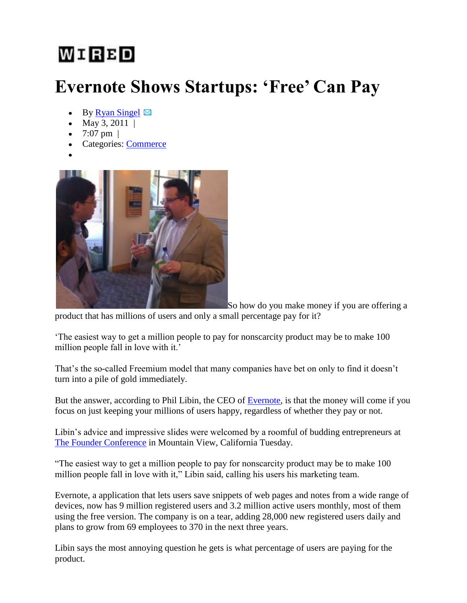## WIRBD

## **Evernote Shows Startups: 'Free' Can Pay**

- By Ryan Singel  $\boxtimes$
- May 3, 2011 |
- 7:07 pm  $|$
- Categories: Commerce
- 



So how do you make money if you are offering a

product that has millions of users and only a small percentage pay for it?

"The easiest way to get a million people to pay for nonscarcity product may be to make 100 million people fall in love with it.'

That's the so-called Freemium model that many companies have bet on only to find it doesn't turn into a pile of gold immediately.

But the answer, according to Phil Libin, the CEO of Evernote, is that the money will come if you focus on just keeping your millions of users happy, regardless of whether they pay or not.

Libin"s advice and impressive slides were welcomed by a roomful of budding entrepreneurs at The Founder Conference in Mountain View, California Tuesday.

"The easiest way to get a million people to pay for nonscarcity product may be to make 100 million people fall in love with it," Libin said, calling his users his marketing team.

Evernote, a application that lets users save snippets of web pages and notes from a wide range of devices, now has 9 million registered users and 3.2 million active users monthly, most of them using the free version. The company is on a tear, adding 28,000 new registered users daily and plans to grow from 69 employees to 370 in the next three years.

Libin says the most annoying question he gets is what percentage of users are paying for the product.